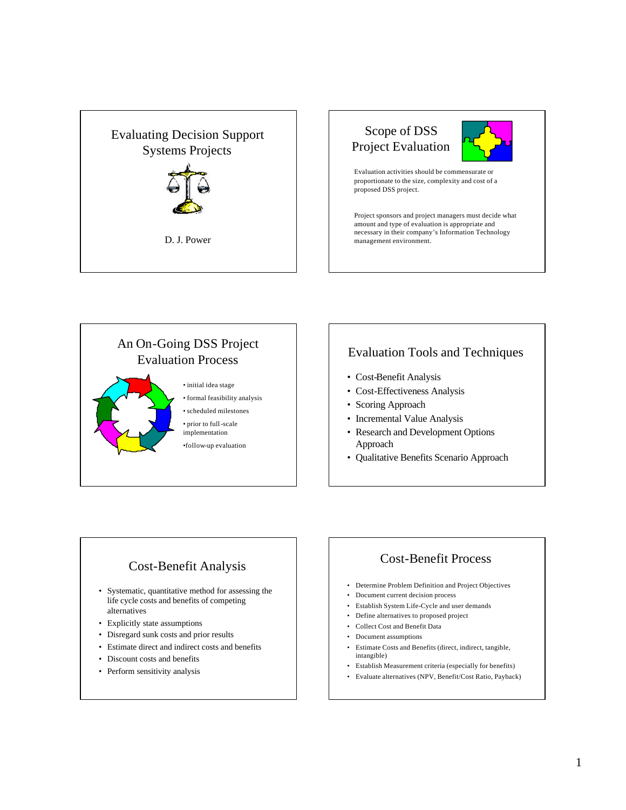





## Evaluation Tools and Techniques

- Cost-Benefit Analysis
- Cost-Effectiveness Analysis
- Scoring Approach
- Incremental Value Analysis
- Research and Development Options Approach
- Qualitative Benefits Scenario Approach

## Cost-Benefit Analysis

- Systematic, quantitative method for assessing the life cycle costs and benefits of competing alternatives
- Explicitly state assumptions
- Disregard sunk costs and prior results
- Estimate direct and indirect costs and benefits
- Discount costs and benefits
- Perform sensitivity analysis

## Cost-Benefit Process

- Determine Problem Definition and Project Objectives
- Document current decision process
- Establish System Life-Cycle and user demands
- Define alternatives to proposed project
- Collect Cost and Benefit Data
- Document assumptions
- Estimate Costs and Benefits (direct, indirect, tangible, intangible)
- Establish Measurement criteria (especially for benefits)
- Evaluate alternatives (NPV, Benefit/Cost Ratio, Payback)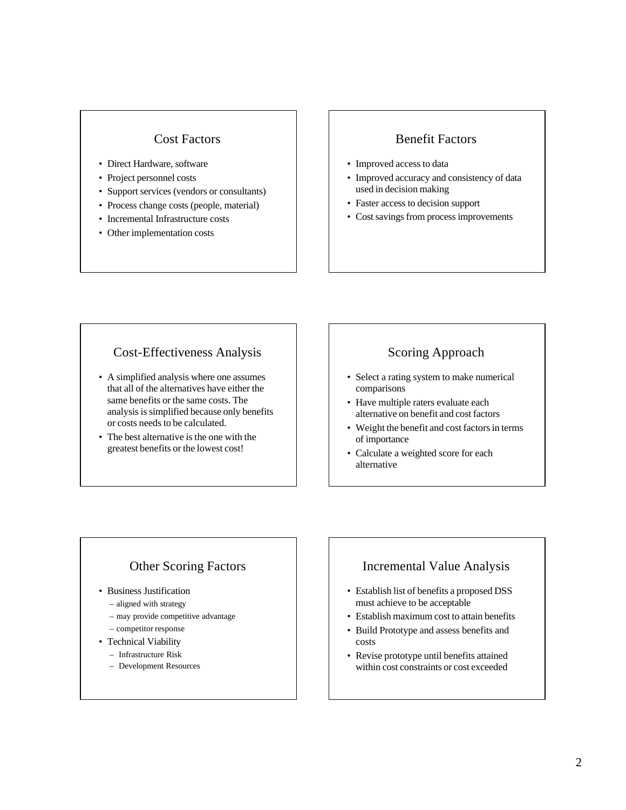#### Cost Factors

- Direct Hardware, software
- Project personnel costs
- Support services (vendors or consultants)
- Process change costs (people, material)
- Incremental Infrastructure costs
- Other implementation costs

#### Benefit Factors

- Improved access to data
- Improved accuracy and consistency of data used in decision making
- Faster access to decision support
- Cost savings from process improvements

## Cost-Effectiveness Analysis

- A simplified analysis where one assumes that all of the alternatives have either the same benefits or the same costs. The analysis is simplified because only benefits or costs needs to be calculated.
- The best alternative is the one with the greatest benefits or the lowest cost!

## Scoring Approach

- Select a rating system to make numerical comparisons
- Have multiple raters evaluate each alternative on benefit and cost factors
- Weight the benefit and cost factors in terms of importance
- Calculate a weighted score for each alternative

## Other Scoring Factors

- Business Justification
	- aligned with strategy
	- may provide competitive advantage
	- competitor response
- Technical Viability
	- Infrastructure Risk
	- Development Resources

#### Incremental Value Analysis

- Establish list of benefits a proposed DSS must achieve to be acceptable
- Establish maximum cost to attain benefits
- Build Prototype and assess benefits and costs
- Revise prototype until benefits attained within cost constraints or cost exceeded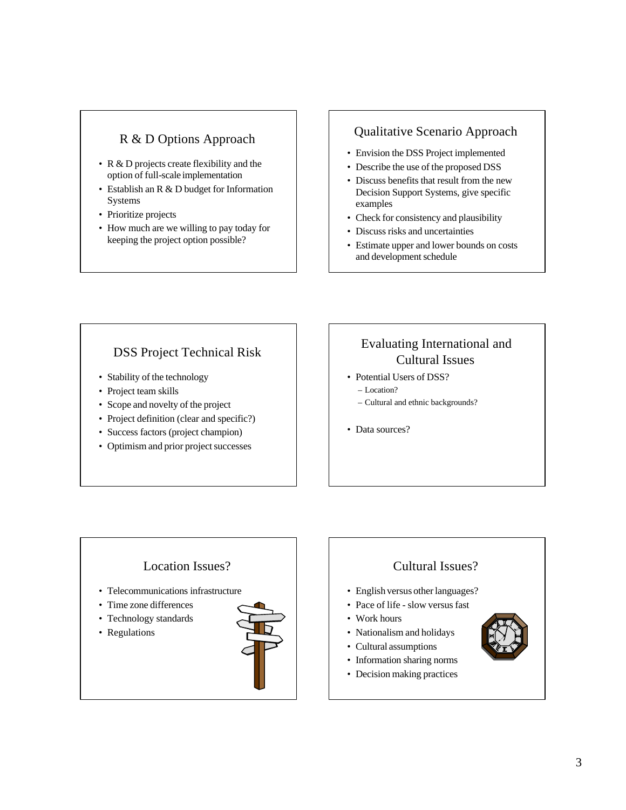## R & D Options Approach

- R & D projects create flexibility and the option of full-scale implementation
- Establish an R & D budget for Information Systems
- Prioritize projects
- How much are we willing to pay today for keeping the project option possible?

## Qualitative Scenario Approach

- Envision the DSS Project implemented
- Describe the use of the proposed DSS
- Discuss benefits that result from the new Decision Support Systems, give specific examples
- Check for consistency and plausibility
- Discuss risks and uncertainties
- Estimate upper and lower bounds on costs and development schedule

## DSS Project Technical Risk

- Stability of the technology
- Project team skills
- Scope and novelty of the project
- Project definition (clear and specific?)
- Success factors (project champion)
- Optimism and prior project successes

# Evaluating International and Cultural Issues

- Potential Users of DSS? – Location?
	- Cultural and ethnic backgrounds?
- Data sources?

# Location Issues? • Telecommunications infrastructure • Time zone differences • Technology standards • Regulations



# Cultural Issues?

- English versus other languages?
- Pace of life slow versus fast
- Work hours
- Nationalism and holidays
- Cultural assumptions
- Information sharing norms
- Decision making practices